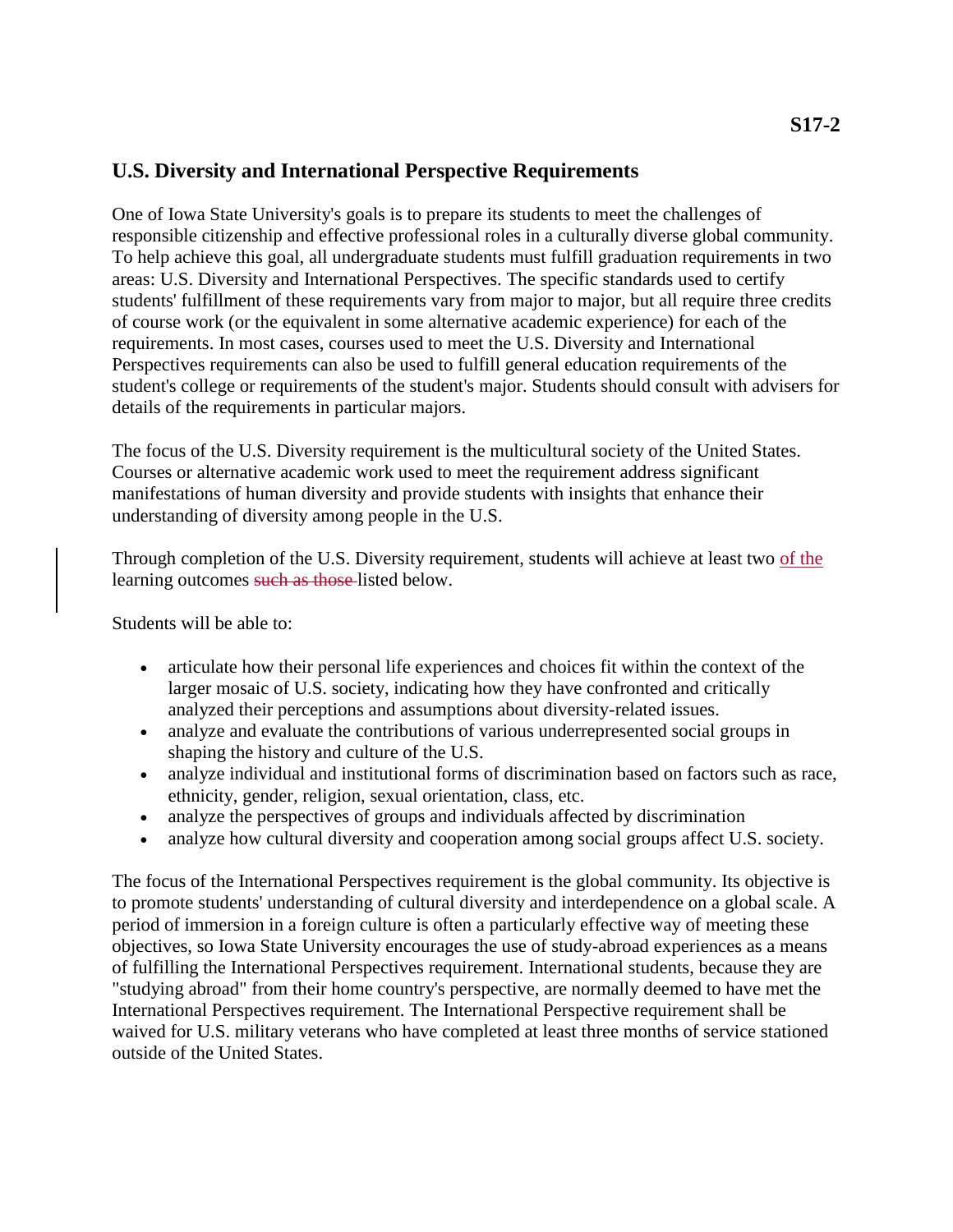## **U.S. Diversity and International Perspective Requirements**

One of Iowa State University's goals is to prepare its students to meet the challenges of responsible citizenship and effective professional roles in a culturally diverse global community. To help achieve this goal, all undergraduate students must fulfill graduation requirements in two areas: U.S. Diversity and International Perspectives. The specific standards used to certify students' fulfillment of these requirements vary from major to major, but all require three credits of course work (or the equivalent in some alternative academic experience) for each of the requirements. In most cases, courses used to meet the U.S. Diversity and International Perspectives requirements can also be used to fulfill general education requirements of the student's college or requirements of the student's major. Students should consult with advisers for details of the requirements in particular majors.

The focus of the U.S. Diversity requirement is the multicultural society of the United States. Courses or alternative academic work used to meet the requirement address significant manifestations of human diversity and provide students with insights that enhance their understanding of diversity among people in the U.S.

Through completion of the U.S. Diversity requirement, students will achieve at least two of the learning outcomes such as those listed below.

Students will be able to:

- articulate how their personal life experiences and choices fit within the context of the larger mosaic of U.S. society, indicating how they have confronted and critically analyzed their perceptions and assumptions about diversity-related issues.
- analyze and evaluate the contributions of various underrepresented social groups in shaping the history and culture of the U.S.
- analyze individual and institutional forms of discrimination based on factors such as race, ethnicity, gender, religion, sexual orientation, class, etc.
- analyze the perspectives of groups and individuals affected by discrimination
- analyze how cultural diversity and cooperation among social groups affect U.S. society.

The focus of the International Perspectives requirement is the global community. Its objective is to promote students' understanding of cultural diversity and interdependence on a global scale. A period of immersion in a foreign culture is often a particularly effective way of meeting these objectives, so Iowa State University encourages the use of study-abroad experiences as a means of fulfilling the International Perspectives requirement. International students, because they are "studying abroad" from their home country's perspective, are normally deemed to have met the International Perspectives requirement. The International Perspective requirement shall be waived for U.S. military veterans who have completed at least three months of service stationed outside of the United States.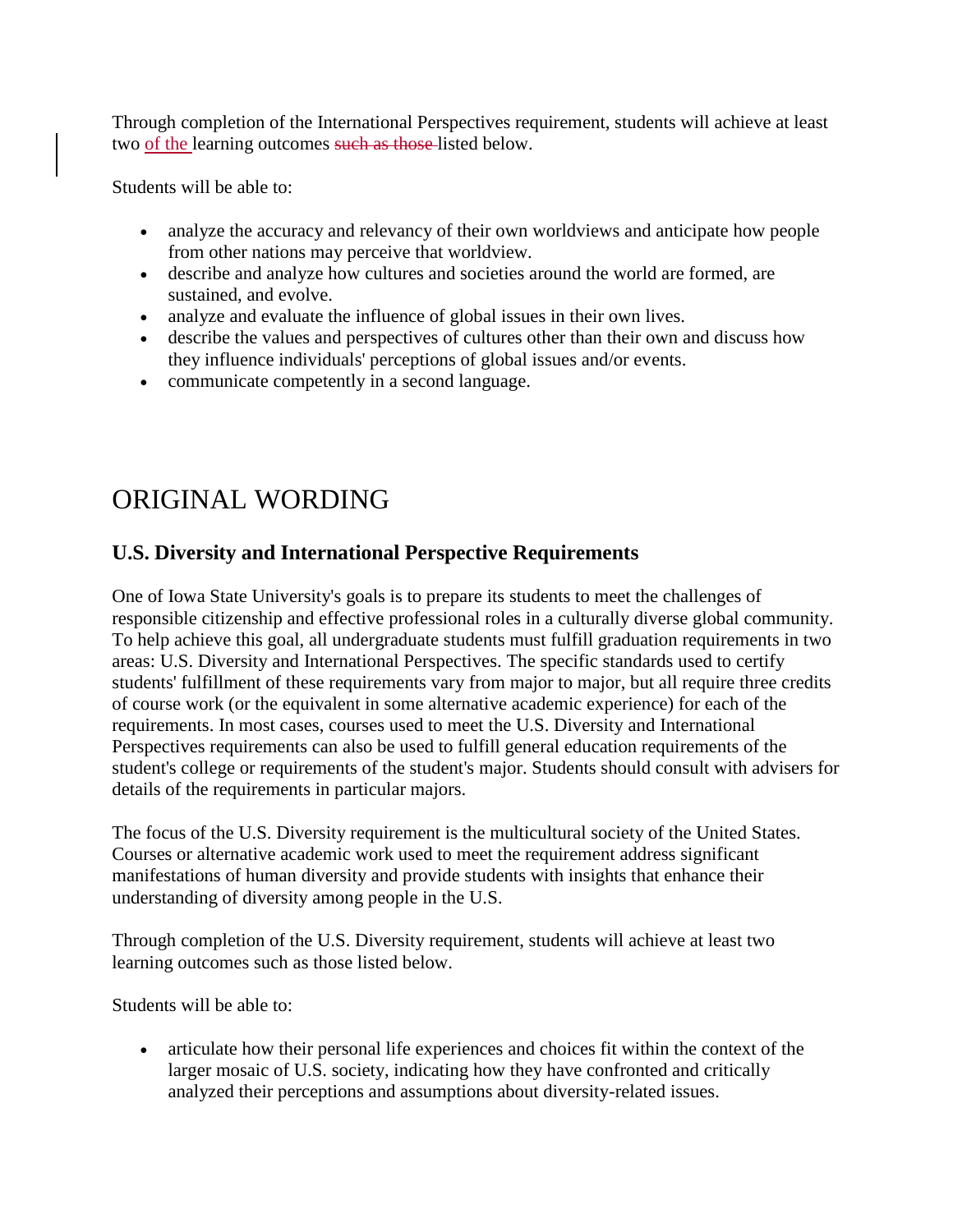Through completion of the International Perspectives requirement, students will achieve at least two of the learning outcomes such as those-listed below.

Students will be able to:

- analyze the accuracy and relevancy of their own worldviews and anticipate how people from other nations may perceive that worldview.
- describe and analyze how cultures and societies around the world are formed, are sustained, and evolve.
- analyze and evaluate the influence of global issues in their own lives.
- describe the values and perspectives of cultures other than their own and discuss how they influence individuals' perceptions of global issues and/or events.
- communicate competently in a second language.

## ORIGINAL WORDING

## **U.S. Diversity and International Perspective Requirements**

One of Iowa State University's goals is to prepare its students to meet the challenges of responsible citizenship and effective professional roles in a culturally diverse global community. To help achieve this goal, all undergraduate students must fulfill graduation requirements in two areas: U.S. Diversity and International Perspectives. The specific standards used to certify students' fulfillment of these requirements vary from major to major, but all require three credits of course work (or the equivalent in some alternative academic experience) for each of the requirements. In most cases, courses used to meet the U.S. Diversity and International Perspectives requirements can also be used to fulfill general education requirements of the student's college or requirements of the student's major. Students should consult with advisers for details of the requirements in particular majors.

The focus of the U.S. Diversity requirement is the multicultural society of the United States. Courses or alternative academic work used to meet the requirement address significant manifestations of human diversity and provide students with insights that enhance their understanding of diversity among people in the U.S.

Through completion of the U.S. Diversity requirement, students will achieve at least two learning outcomes such as those listed below.

Students will be able to:

 articulate how their personal life experiences and choices fit within the context of the larger mosaic of U.S. society, indicating how they have confronted and critically analyzed their perceptions and assumptions about diversity-related issues.